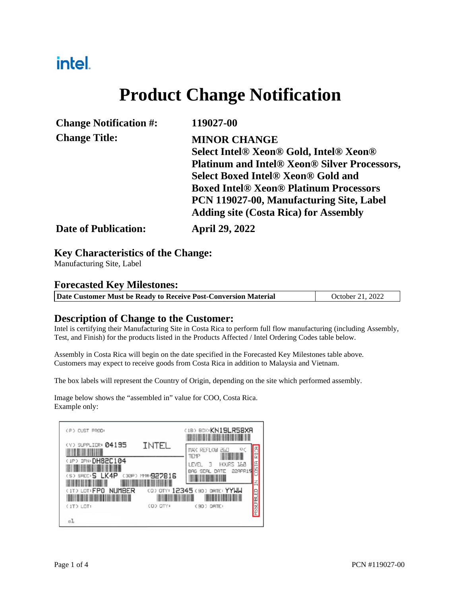## intel.

# **Product Change Notification**

| <b>Change Notification #:</b> | 119027-00                                           |
|-------------------------------|-----------------------------------------------------|
| <b>Change Title:</b>          | <b>MINOR CHANGE</b>                                 |
|                               | Select Intel® Xeon® Gold, Intel® Xeon®              |
|                               | <b>Platinum and Intel® Xeon® Silver Processors,</b> |
|                               | <b>Select Boxed Intel® Xeon® Gold and</b>           |
|                               | <b>Boxed Intel® Xeon® Platinum Processors</b>       |
|                               | PCN 119027-00, Manufacturing Site, Label            |
|                               | <b>Adding site (Costa Rica) for Assembly</b>        |
| <b>Date of Publication:</b>   | <b>April 29, 2022</b>                               |

#### **Key Characteristics of the Change:**

Manufacturing Site, Label

#### **Forecasted Key Milestones:**

|  | Date Customer Must be Ready to Receive Post-Conversion Material | October 21, 2022 |
|--|-----------------------------------------------------------------|------------------|
|--|-----------------------------------------------------------------|------------------|

#### **Description of Change to the Customer:**

Intel is certifying their Manufacturing Site in Costa Rica to perform full flow manufacturing (including Assembly, Test, and Finish) for the products listed in the Products Affected / Intel Ordering Codes table below.

Assembly in Costa Rica will begin on the date specified in the Forecasted Key Milestones table above. Customers may expect to receive goods from Costa Rica in addition to Malaysia and Vietnam.

The box labels will represent the Country of Origin, depending on the site which performed assembly.

Image below shows the "assembled in" value for COO, Costa Rica. Example only:

| (P) CUST PROD:                              |                  | (1B) BOX: KN19LR58XR                         |  |
|---------------------------------------------|------------------|----------------------------------------------|--|
| (V) SUPPLIER: 04195                         | INTEL            | MAX REFLOW<br>TEMP                           |  |
| (IP) IFN: DH82C104<br>(S) SPEC: S LK4P      | (30P) M#: 927816 | HOURS 168<br>LEVEL<br>RTE<br>D               |  |
| <b>NUMBER</b><br>(1T) LOT: FPO<br>(IT) LOT: | (D) DTY:         | (0) OTY: 12345 (90) DATE: YYWW<br>(90) DRTE: |  |
| e1.                                         |                  |                                              |  |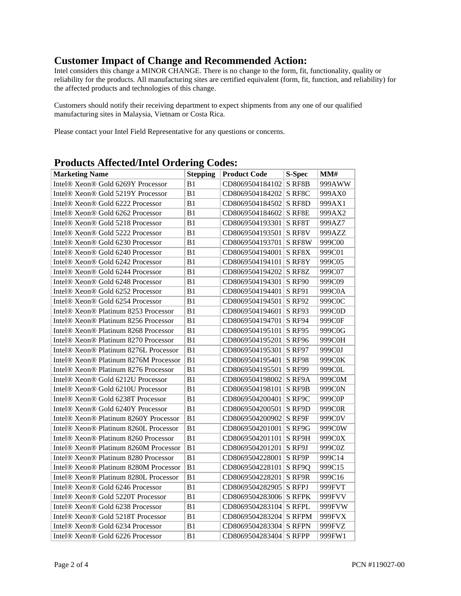### **Customer Impact of Change and Recommended Action:**

Intel considers this change a MINOR CHANGE. There is no change to the form, fit, functionality, quality or reliability for the products. All manufacturing sites are certified equivalent (form, fit, function, and reliability) for the affected products and technologies of this change.

Customers should notify their receiving department to expect shipments from any one of our qualified manufacturing sites in Malaysia, Vietnam or Costa Rica.

Please contact your Intel Field Representative for any questions or concerns.

| <b>Marketing Name</b>                 | <b>Stepping</b> | <b>Product Code</b>    | <b>S-Spec</b>       | MM#    |
|---------------------------------------|-----------------|------------------------|---------------------|--------|
| Intel® Xeon® Gold 6269Y Processor     | B1              | CD8069504184102        | S RF8B              | 999AWW |
| Intel® Xeon® Gold 5219Y Processor     | B1              | CD8069504184202        | S RF <sub>8</sub> C | 999AX0 |
| Intel® Xeon® Gold 6222 Processor      | B1              | CD8069504184502        | S RF8D              | 999AX1 |
| Intel® Xeon® Gold 6262 Processor      | B1              | CD8069504184602        | S RF8E              | 999AX2 |
| Intel® Xeon® Gold 5218 Processor      | B <sub>1</sub>  | CD8069504193301        | S RF8T              | 999AZ7 |
| Intel® Xeon® Gold 5222 Processor      | B1              | CD8069504193501        | S RF8V              | 999AZZ |
| Intel® Xeon® Gold 6230 Processor      | B1              | CD8069504193701        | S RF8W              | 999C00 |
| Intel® Xeon® Gold 6240 Processor      | B1              | CD8069504194001        | S RF8X              | 999C01 |
| Intel® Xeon® Gold 6242 Processor      | B1              | CD8069504194101        | S RF8Y              | 999C05 |
| Intel® Xeon® Gold 6244 Processor      | B1              | CD8069504194202        | S RF8Z              | 999C07 |
| Intel® Xeon® Gold 6248 Processor      | B1              | CD8069504194301 S RF90 |                     | 999C09 |
| Intel® Xeon® Gold 6252 Processor      | B1              | CD8069504194401        | <b>S RF91</b>       | 999C0A |
| Intel® Xeon® Gold 6254 Processor      | B1              | CD8069504194501        | <b>S RF92</b>       | 999C0C |
| Intel® Xeon® Platinum 8253 Processor  | B1              | CD8069504194601        | S RF93              | 999C0D |
| Intel® Xeon® Platinum 8256 Processor  | B1              | CD8069504194701 S RF94 |                     | 999C0F |
| Intel® Xeon® Platinum 8268 Processor  | B1              | CD8069504195101        | <b>S RF95</b>       | 999C0G |
| Intel® Xeon® Platinum 8270 Processor  | B1              | CD8069504195201        | S RF96              | 999C0H |
| Intel® Xeon® Platinum 8276L Processor | B1              | CD8069504195301        | <b>S RF97</b>       | 999C0J |
| Intel® Xeon® Platinum 8276M Processor | B1              | CD8069504195401        | S RF98              | 999C0K |
| Intel® Xeon® Platinum 8276 Processor  | B1              | CD8069504195501        | <b>S RF99</b>       | 999C0L |
| Intel® Xeon® Gold 6212U Processor     | B1              | CD8069504198002        | S RF9A              | 999C0M |
| Intel® Xeon® Gold 6210U Processor     | B1              | CD8069504198101        | S RF9B              | 999C0N |
| Intel® Xeon® Gold 6238T Processor     | B1              | CD8069504200401        | S RF9C              | 999C0P |
| Intel® Xeon® Gold 6240Y Processor     | B1              | CD8069504200501        | S RF9D              | 999C0R |
| Intel® Xeon® Platinum 8260Y Processor | B <sub>1</sub>  | CD8069504200902        | S RF9F              | 999C0V |
| Intel® Xeon® Platinum 8260L Processor | B1              | CD8069504201001 S RF9G |                     | 999C0W |
| Intel® Xeon® Platinum 8260 Processor  | B1              | CD8069504201101 S RF9H |                     | 999C0X |
| Intel® Xeon® Platinum 8260M Processor | B1              | CD8069504201201 S RF9J |                     | 999C0Z |
| Intel® Xeon® Platinum 8280 Processor  | B1              | CD8069504228001 S RF9P |                     | 999C14 |
| Intel® Xeon® Platinum 8280M Processor | B1              | CD8069504228101 S RF9Q |                     | 999C15 |
| Intel® Xeon® Platinum 8280L Processor | B1              | CD8069504228201        | S RF9R              | 999C16 |
| Intel® Xeon® Gold 6246 Processor      | B1              | CD8069504282905 S RFPJ |                     | 999FVT |
| Intel® Xeon® Gold 5220T Processor     | B1              | CD8069504283006 S RFPK |                     | 999FVV |
| Intel® Xeon® Gold 6238 Processor      | B1              | CD8069504283104        | S RFPL              | 999FVW |
| Intel® Xeon® Gold 5218T Processor     | B1              | CD8069504283204 S RFPM |                     | 999FVX |
| Intel® Xeon® Gold 6234 Processor      | B1              | CD8069504283304 S RFPN |                     | 999FVZ |
| Intel® Xeon® Gold 6226 Processor      | B1              | CD8069504283404 S RFPP |                     | 999FW1 |

### **Products Affected/Intel Ordering Codes:**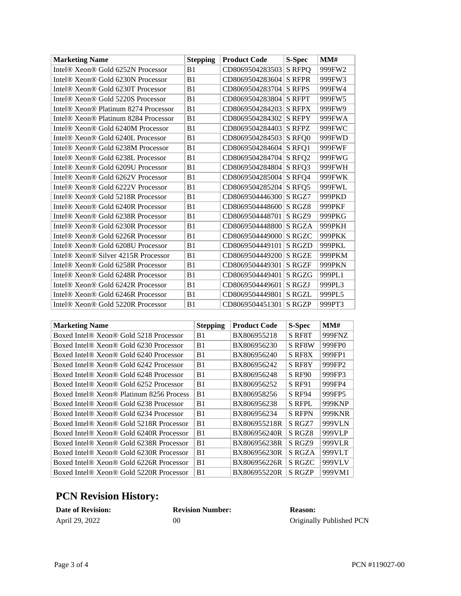| <b>Marketing Name</b>                                        | <b>Stepping</b> | <b>Product Code</b> | <b>S-Spec</b> | MM#           |
|--------------------------------------------------------------|-----------------|---------------------|---------------|---------------|
| Intel® Xeon® Gold 6252N Processor                            | B <sub>1</sub>  | CD8069504283503     | <b>S RFPO</b> | 999FW2        |
| Intel <sup>®</sup> Xeon <sup>®</sup> Gold 6230N Processor    | B <sub>1</sub>  | CD8069504283604     | <b>S RFPR</b> | 999FW3        |
| Intel <sup>®</sup> Xeon <sup>®</sup> Gold 6230T Processor    | B <sub>1</sub>  | CD8069504283704     | <b>S RFPS</b> | 999FW4        |
| Intel <sup>®</sup> Xeon <sup>®</sup> Gold 5220S Processor    | B <sub>1</sub>  | CD8069504283804     | <b>S RFPT</b> | 999FW5        |
| Intel <sup>®</sup> Xeon <sup>®</sup> Platinum 8274 Processor | B <sub>1</sub>  | CD8069504284203     | <b>S RFPX</b> | 999FW9        |
| Intel <sup>®</sup> Xeon <sup>®</sup> Platinum 8284 Processor | B <sub>1</sub>  | CD8069504284302     | <b>S RFPY</b> | 999FWA        |
| Intel <sup>®</sup> Xeon <sup>®</sup> Gold 6240M Processor    | B1              | CD8069504284403     | <b>S RFPZ</b> | 999FWC        |
| Intel® Xeon® Gold 6240L Processor                            | B <sub>1</sub>  | CD8069504284503     | S RFQ0        | 999FWD        |
| Intel <sup>®</sup> Xeon <sup>®</sup> Gold 6238M Processor    | B <sub>1</sub>  | CD8069504284604     | S RFQ1        | 999FWF        |
| Intel® Xeon® Gold 6238L Processor                            | B <sub>1</sub>  | CD8069504284704     | S RFQ2        | 999FWG        |
| Intel <sup>®</sup> Xeon <sup>®</sup> Gold 6209U Processor    | B1              | CD8069504284804     | S RFQ3        | 999FWH        |
| Intel® Xeon® Gold 6262V Processor                            | B1              | CD8069504285004     | S RFQ4        | 999FWK        |
| Intel® Xeon® Gold 6222V Processor                            | B <sub>1</sub>  | CD8069504285204     | S RFQ5        | 999FWL        |
| Intel <sup>®</sup> Xeon <sup>®</sup> Gold 5218R Processor    | B <sub>1</sub>  | CD8069504446300     | S RGZ7        | 999PKD        |
| Intel <sup>®</sup> Xeon <sup>®</sup> Gold 6240R Processor    | B <sub>1</sub>  | CD8069504448600     | S RGZ8        | 999PKF        |
| Intel® Xeon® Gold 6238R Processor                            | B <sub>1</sub>  | CD8069504448701     | S RGZ9        | 999PKG        |
| Intel <sup>®</sup> Xeon <sup>®</sup> Gold 6230R Processor    | B <sub>1</sub>  | CD8069504448800     | <b>S RGZA</b> | 999PKH        |
| Intel <sup>®</sup> Xeon <sup>®</sup> Gold 6226R Processor    | B <sub>1</sub>  | CD8069504449000     | S RGZC        | 999PKK        |
| Intel® Xeon® Gold 6208U Processor                            | B1              | CD8069504449101     | <b>S RGZD</b> | 999PKL        |
| Intel <sup>®</sup> Xeon <sup>®</sup> Silver 4215R Processor  | B <sub>1</sub>  | CD8069504449200     | <b>S RGZE</b> | 999PKM        |
| Intel <sup>®</sup> Xeon <sup>®</sup> Gold 6258R Processor    | B <sub>1</sub>  | CD8069504449301     | <b>S RGZF</b> | <b>999PKN</b> |
| Intel® Xeon® Gold 6248R Processor                            | B <sub>1</sub>  | CD8069504449401     | <b>S RGZG</b> | 999PL1        |
| Intel® Xeon® Gold 6242R Processor                            | B <sub>1</sub>  | CD8069504449601     | S RGZJ        | 999PL3        |
| Intel® Xeon® Gold 6246R Processor                            | B1              | CD8069504449801     | <b>S RGZL</b> | 999PL5        |
| Intel® Xeon® Gold 5220R Processor                            | B <sub>1</sub>  | CD8069504451301     | <b>S RGZP</b> | 999PT3        |

| <b>Marketing Name</b>                    | <b>Stepping</b> | <b>Product Code</b> | S-Spec        | MMH    |
|------------------------------------------|-----------------|---------------------|---------------|--------|
| Boxed Intel® Xeon® Gold 5218 Processor   | B <sub>1</sub>  | BX806955218         | S RF8T        | 999FNZ |
| Boxed Intel® Xeon® Gold 6230 Processor   | B <sub>1</sub>  | BX806956230         | S RF8W        | 999FP0 |
| Boxed Intel® Xeon® Gold 6240 Processor   | B <sub>1</sub>  | BX806956240         | S RF8X        | 999FP1 |
| Boxed Intel® Xeon® Gold 6242 Processor   | B <sub>1</sub>  | BX806956242         | S RF8Y        | 999FP2 |
| Boxed Intel® Xeon® Gold 6248 Processor   | B <sub>1</sub>  | BX806956248         | <b>S RF90</b> | 999FP3 |
| Boxed Intel® Xeon® Gold 6252 Processor   | B <sub>1</sub>  | BX806956252         | S RF91        | 999FP4 |
| Boxed Intel® Xeon® Platinum 8256 Process | B <sub>1</sub>  | BX806958256         | <b>S RF94</b> | 999FP5 |
| Boxed Intel® Xeon® Gold 6238 Processor   | B <sub>1</sub>  | BX806956238         | <b>S RFPL</b> | 999KNP |
| Boxed Intel® Xeon® Gold 6234 Processor   | B <sub>1</sub>  | BX806956234         | <b>S RFPN</b> | 999KNR |
| Boxed Intel® Xeon® Gold 5218R Processor  | B1              | BX806955218R        | S RGZ7        | 999VLN |
| Boxed Intel® Xeon® Gold 6240R Processor  | B1              | BX806956240R        | S RGZ8        | 999VLP |
| Boxed Intel® Xeon® Gold 6238R Processor  | B <sub>1</sub>  | BX806956238R        | S RGZ9        | 999VLR |
| Boxed Intel® Xeon® Gold 6230R Processor  | B1              | BX806956230R        | S RGZA        | 999VLT |
| Boxed Intel® Xeon® Gold 6226R Processor  | B1              | BX806956226R        | S RGZC        | 999VLV |
| Boxed Intel® Xeon® Gold 5220R Processor  | B <sub>1</sub>  | BX806955220R        | <b>S RGZP</b> | 999VM1 |

### **PCN Revision History:**

| <b>Date of Revision:</b> | <b>Revision Number:</b> | <b>Reason:</b>           |
|--------------------------|-------------------------|--------------------------|
| April 29, 2022           | 00                      | Originally Published PCN |